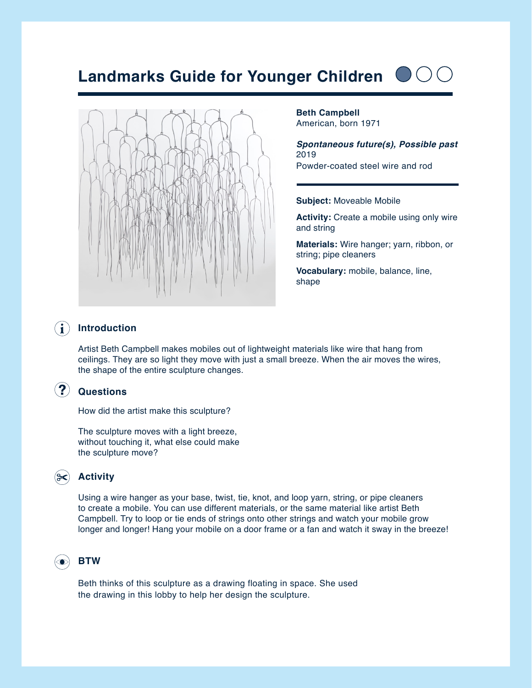# **Landmarks Guide for Younger Children**



**Beth Campbell** American, born 1971

*Spontaneous future(s), Possible past* 2019 Powder-coated steel wire and rod

### **Subject:** Moveable Mobile

**Activity:** Create a mobile using only wire and string

**Materials:** Wire hanger; yarn, ribbon, or string; pipe cleaners

**Vocabulary:** mobile, balance, line, shape

### $\bf (i)$ **Introduction**

Artist Beth Campbell makes mobiles out of lightweight materials like wire that hang from ceilings. They are so light they move with just a small breeze. When the air moves the wires, the shape of the entire sculpture changes.

## **Questions**

How did the artist make this sculpture?

The sculpture moves with a light breeze, without touching it, what else could make the sculpture move?

## **Activity**

Using a wire hanger as your base, twist, tie, knot, and loop yarn, string, or pipe cleaners to create a mobile. You can use different materials, or the same material like artist Beth Campbell. Try to loop or tie ends of strings onto other strings and watch your mobile grow longer and longer! Hang your mobile on a door frame or a fan and watch it sway in the breeze!

## **BTW**

Beth thinks of this sculpture as a drawing floating in space. She used the drawing in this lobby to help her design the sculpture.